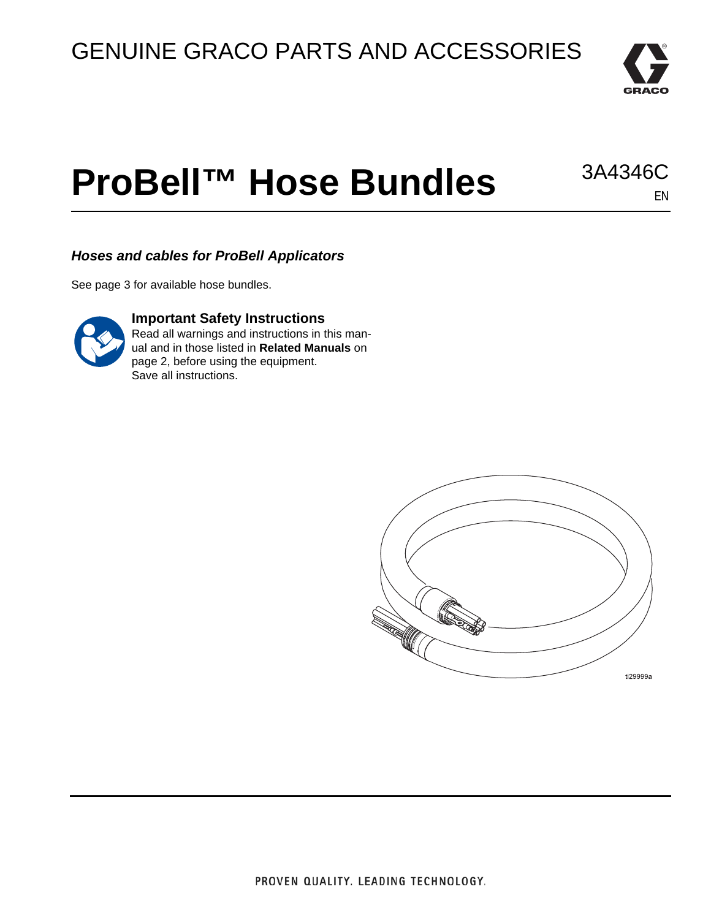

EN

3A4346C

# **ProBell™ Hose Bundles**

*Hoses and cables for ProBell Applicators*

See page [3](#page-2-0) for available hose bundles.



#### **Important Safety Instructions**

Read all warnings and instructions in this manual and in those listed in **[Related Manuals](#page-1-0)** on page [2,](#page-1-0) before using the equipment. Save all instructions.

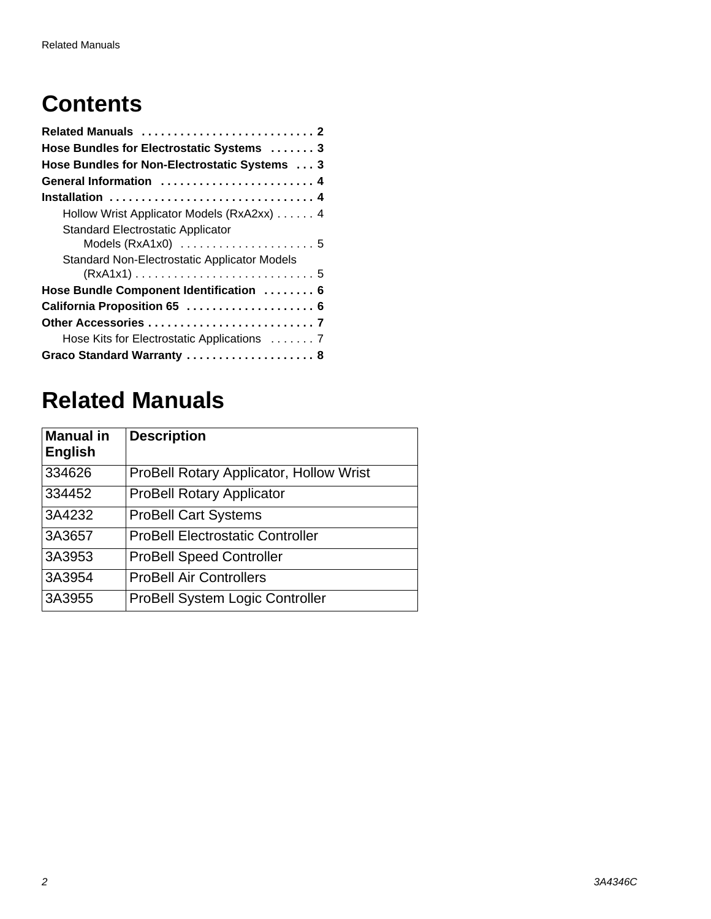# **Contents**

| Related Manuals  2                           |
|----------------------------------------------|
| Hose Bundles for Electrostatic Systems  3    |
| Hose Bundles for Non-Electrostatic Systems 3 |
| General Information  4                       |
| Installation  4                              |
| Hollow Wrist Applicator Models (RxA2xx) 4    |
| <b>Standard Electrostatic Applicator</b>     |
|                                              |
| Standard Non-Electrostatic Applicator Models |
|                                              |
| Hose Bundle Component Identification  6      |
| California Proposition 65  6                 |
|                                              |
| Hose Kits for Electrostatic Applications  7  |
| Graco Standard Warranty  8                   |

# <span id="page-1-0"></span>**Related Manuals**

| <b>Manual in</b><br><b>English</b> | <b>Description</b>                             |
|------------------------------------|------------------------------------------------|
| 334626                             | <b>ProBell Rotary Applicator, Hollow Wrist</b> |
| 334452                             | <b>ProBell Rotary Applicator</b>               |
| 3A4232                             | <b>ProBell Cart Systems</b>                    |
| 3A3657                             | <b>ProBell Electrostatic Controller</b>        |
| 3A3953                             | <b>ProBell Speed Controller</b>                |
| 3A3954                             | <b>ProBell Air Controllers</b>                 |
| 3A3955                             | ProBell System Logic Controller                |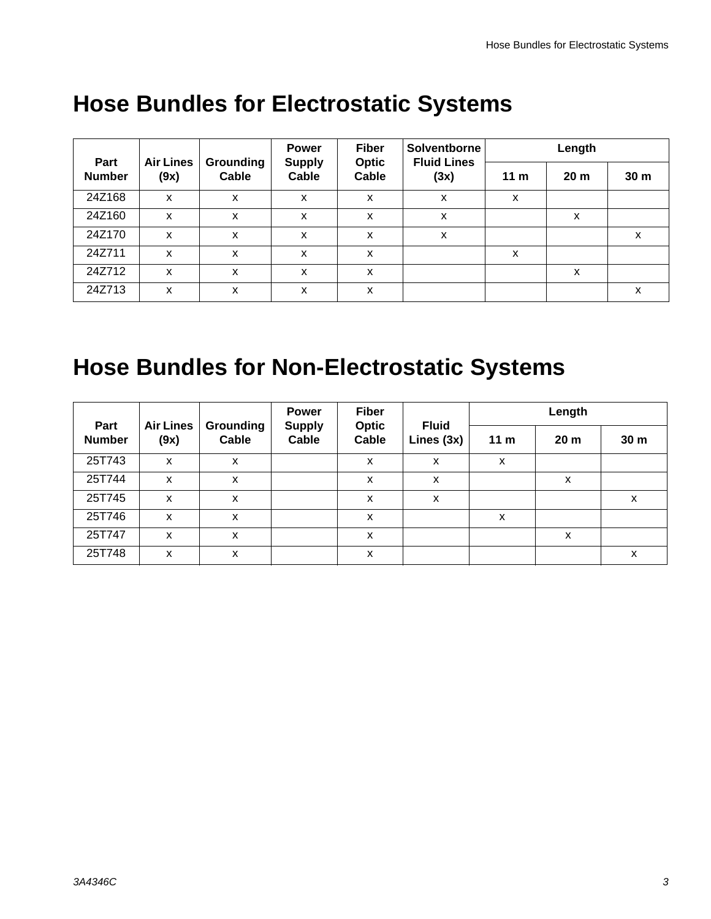|                       |                          |                    | <b>Power</b>           | <b>Fiber</b>          | Solventborne               | Length          |                 |                 |
|-----------------------|--------------------------|--------------------|------------------------|-----------------------|----------------------------|-----------------|-----------------|-----------------|
| Part<br><b>Number</b> | <b>Air Lines</b><br>(9x) | Grounding<br>Cable | <b>Supply</b><br>Cable | <b>Optic</b><br>Cable | <b>Fluid Lines</b><br>(3x) | 11 <sub>m</sub> | 20 <sub>m</sub> | 30 <sub>m</sub> |
| 24Z168                | X                        | x                  | x                      | X                     | X                          | X               |                 |                 |
| 24Z160                | X                        | x                  | x                      | X                     | X                          |                 | X               |                 |
| 24Z170                | X                        | x                  | x                      | X                     | X                          |                 |                 | x               |
| 24Z711                | X                        | x                  | X                      | X                     |                            | X               |                 |                 |
| 24Z712                | X                        | x                  | X                      | X                     |                            |                 | x               |                 |
| 24Z713                | X                        | x                  | X                      | X                     |                            |                 |                 | X               |

### <span id="page-2-0"></span>**Hose Bundles for Electrostatic Systems**

# <span id="page-2-1"></span>**Hose Bundles for Non-Electrostatic Systems**

|                       |                          |                    | <b>Power</b>           | <b>Fiber</b>          |                            | Length          |                 |                 |
|-----------------------|--------------------------|--------------------|------------------------|-----------------------|----------------------------|-----------------|-----------------|-----------------|
| Part<br><b>Number</b> | <b>Air Lines</b><br>(9x) | Grounding<br>Cable | <b>Supply</b><br>Cable | <b>Optic</b><br>Cable | <b>Fluid</b><br>Lines (3x) | 11 <sub>m</sub> | 20 <sub>m</sub> | 30 <sub>m</sub> |
| 25T743                | X                        | X                  |                        | X                     | X                          | X               |                 |                 |
| 25T744                | X                        | X                  |                        | X                     | x                          |                 | X               |                 |
| 25T745                | X                        | X                  |                        | X                     | X                          |                 |                 | X               |
| 25T746                | X                        | X                  |                        | X                     |                            | X               |                 |                 |
| 25T747                | X                        | X                  |                        | X                     |                            |                 | X               |                 |
| 25T748                | X                        | X                  |                        | X                     |                            |                 |                 | X               |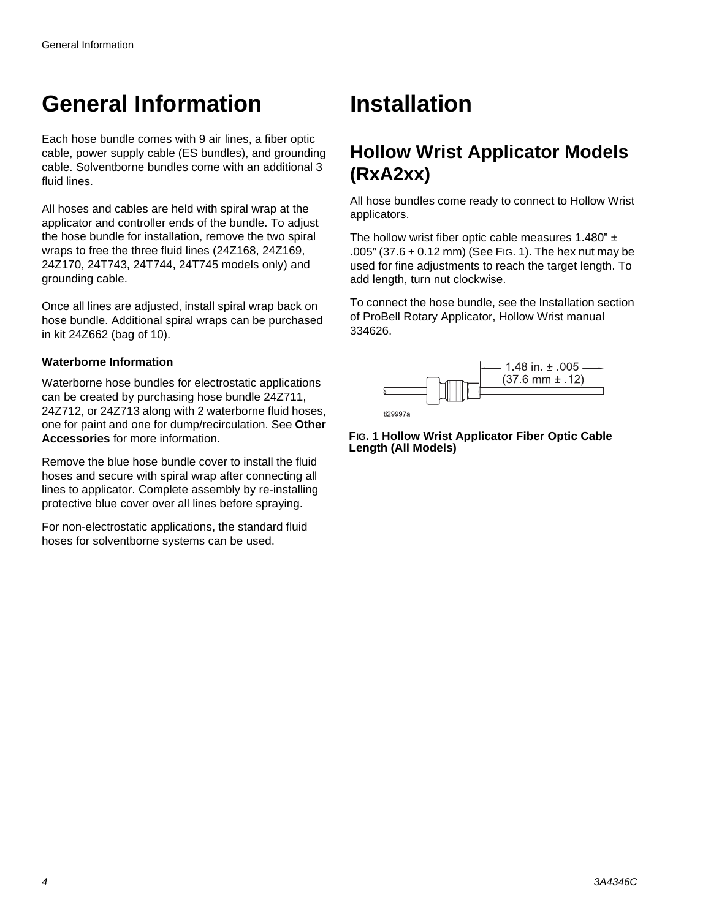### <span id="page-3-0"></span>**General Information**

Each hose bundle comes with 9 air lines, a fiber optic cable, power supply cable (ES bundles), and grounding cable. Solventborne bundles come with an additional 3 fluid lines.

All hoses and cables are held with spiral wrap at the applicator and controller ends of the bundle. To adjust the hose bundle for installation, remove the two spiral wraps to free the three fluid lines (24Z168, 24Z169, 24Z170, 24T743, 24T744, 24T745 models only) and grounding cable.

Once all lines are adjusted, install spiral wrap back on hose bundle. Additional spiral wraps can be purchased in kit 24Z662 (bag of 10).

#### **Waterborne Information**

Waterborne hose bundles for electrostatic applications can be created by purchasing hose bundle 24Z711, 24Z712, or 24Z713 along with 2 waterborne fluid hoses, one for paint and one for dump/recirculation. See **[Other](#page-6-0)  [Accessories](#page-6-0)** for more information.

Remove the blue hose bundle cover to install the fluid hoses and secure with spiral wrap after connecting all lines to applicator. Complete assembly by re-installing protective blue cover over all lines before spraying.

For non-electrostatic applications, the standard fluid hoses for solventborne systems can be used.

### <span id="page-3-1"></span>**Installation**

### <span id="page-3-2"></span>**Hollow Wrist Applicator Models (RxA2xx)**

All hose bundles come ready to connect to Hollow Wrist applicators.

The hollow wrist fiber optic cable measures 1.480"  $\pm$ .005" (37.6  $\pm$  0.12 mm) (See [FIG. 1](#page-3-3)). The hex nut may be used for fine adjustments to reach the target length. To add length, turn nut clockwise.

To connect the hose bundle, see the Installation section of ProBell Rotary Applicator, Hollow Wrist manual 334626.



<span id="page-3-3"></span>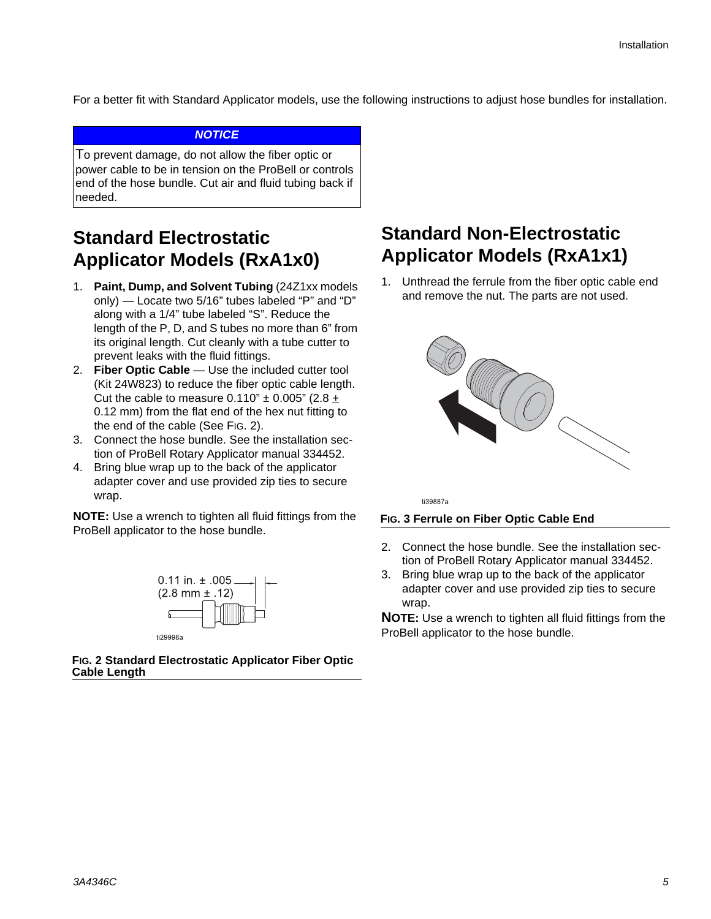For a better fit with Standard Applicator models, use the following instructions to adjust hose bundles for installation.

#### *NOTICE*

To prevent damage, do not allow the fiber optic or power cable to be in tension on the ProBell or controls end of the hose bundle. Cut air and fluid tubing back if needed.

### <span id="page-4-0"></span>**Standard Electrostatic Applicator Models (RxA1x0)**

- 1. **Paint, Dump, and Solvent Tubing** (24Z1xx models only) — Locate two 5/16" tubes labeled "P" and "D" along with a 1/4" tube labeled "S". Reduce the length of the P, D, and S tubes no more than 6" from its original length. Cut cleanly with a tube cutter to prevent leaks with the fluid fittings.
- 2. **Fiber Optic Cable** Use the included cutter tool (Kit 24W823) to reduce the fiber optic cable length. Cut the cable to measure  $0.110" \pm 0.005"$  (2.8  $\pm$ 0.12 mm) from the flat end of the hex nut fitting to the end of the cable (See [FIG. 2](#page-4-2)).
- 3. Connect the hose bundle. See the installation section of ProBell Rotary Applicator manual 334452.
- 4. Bring blue wrap up to the back of the applicator adapter cover and use provided zip ties to secure wrap.

**NOTE:** Use a wrench to tighten all fluid fittings from the ProBell applicator to the hose bundle.



<span id="page-4-2"></span>**FIG. 2 Standard Electrostatic Applicator Fiber Optic Cable Length**

### <span id="page-4-1"></span>**Standard Non-Electrostatic Applicator Models (RxA1x1)**

1. Unthread the ferrule from the fiber optic cable end and remove the nut. The parts are not used.



ti39887a

#### **FIG. 3 Ferrule on Fiber Optic Cable End**

- 2. Connect the hose bundle. See the installation section of ProBell Rotary Applicator manual 334452.
- 3. Bring blue wrap up to the back of the applicator adapter cover and use provided zip ties to secure wrap.

**NOTE:** Use a wrench to tighten all fluid fittings from the ProBell applicator to the hose bundle.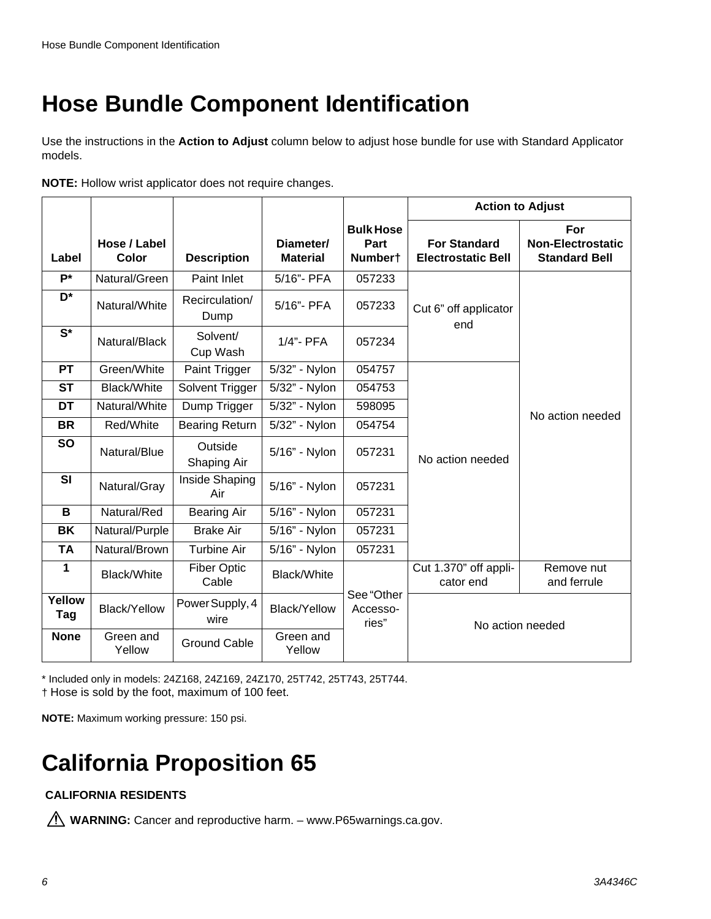### <span id="page-5-0"></span>**Hose Bundle Component Identification**

Use the instructions in the **Action to Adjust** column below to adjust hose bundle for use with Standard Applicator models.

| NOTE: Hollow wrist applicator does not require changes. |  |  |
|---------------------------------------------------------|--|--|
|                                                         |  |  |

|               |                       |                             |                              |                                     | <b>Action to Adjust</b>                          |                                                         |  |
|---------------|-----------------------|-----------------------------|------------------------------|-------------------------------------|--------------------------------------------------|---------------------------------------------------------|--|
| Label         | Hose / Label<br>Color | <b>Description</b>          | Diameter/<br><b>Material</b> | <b>Bulk Hose</b><br>Part<br>Numbert | <b>For Standard</b><br><b>Electrostatic Bell</b> | For<br><b>Non-Electrostatic</b><br><b>Standard Bell</b> |  |
| $P^*$         | Natural/Green         | Paint Inlet                 | 5/16"- PFA                   | 057233                              |                                                  |                                                         |  |
| D*            | Natural/White         | Recirculation/<br>Dump      | 5/16"- PFA                   | 057233                              | Cut 6" off applicator<br>end                     |                                                         |  |
| $S^*$         | Natural/Black         | Solvent/<br>Cup Wash        | 1/4"- PFA                    | 057234                              |                                                  |                                                         |  |
| <b>PT</b>     | Green/White           | Paint Trigger               | 5/32" - Nylon                | 054757                              |                                                  |                                                         |  |
| <b>ST</b>     | <b>Black/White</b>    | Solvent Trigger             | 5/32" - Nylon                | 054753                              |                                                  | No action needed                                        |  |
| DT            | Natural/White         | Dump Trigger                | 5/32" - Nylon                | 598095                              |                                                  |                                                         |  |
| <b>BR</b>     | Red/White             | <b>Bearing Return</b>       | 5/32" - Nylon                | 054754                              |                                                  |                                                         |  |
| <b>SO</b>     | Natural/Blue          | Outside<br>Shaping Air      | 5/16" - Nylon                | 057231                              | No action needed                                 |                                                         |  |
| SI            | Natural/Gray          | Inside Shaping<br>Air       | 5/16" - Nylon                | 057231                              |                                                  |                                                         |  |
| B             | Natural/Red           | <b>Bearing Air</b>          | 5/16" - Nylon                | 057231                              |                                                  |                                                         |  |
| <b>BK</b>     | Natural/Purple        | <b>Brake Air</b>            | 5/16" - Nylon                | 057231                              |                                                  |                                                         |  |
| <b>TA</b>     | Natural/Brown         | <b>Turbine Air</b>          | 5/16" - Nylon                | 057231                              |                                                  |                                                         |  |
| 1             | Black/White           | <b>Fiber Optic</b><br>Cable | Black/White                  |                                     | Cut 1.370" off appli-<br>cator end               | Remove nut<br>and ferrule                               |  |
| Yellow<br>Tag | <b>Black/Yellow</b>   | Power Supply, 4<br>wire     | <b>Black/Yellow</b>          | See "Other<br>Accesso-<br>ries"     | No action needed                                 |                                                         |  |
| <b>None</b>   | Green and<br>Yellow   | <b>Ground Cable</b>         | Green and<br>Yellow          |                                     |                                                  |                                                         |  |

\* Included only in models: 24Z168, 24Z169, 24Z170, 25T742, 25T743, 25T744. † Hose is sold by the foot, maximum of 100 feet.

**NOTE:** Maximum working pressure: 150 psi.

# <span id="page-5-1"></span>**California Proposition 65**

#### **CALIFORNIA RESIDENTS**

**WARNING:** Cancer and reproductive harm. – www.P65warnings.ca.gov.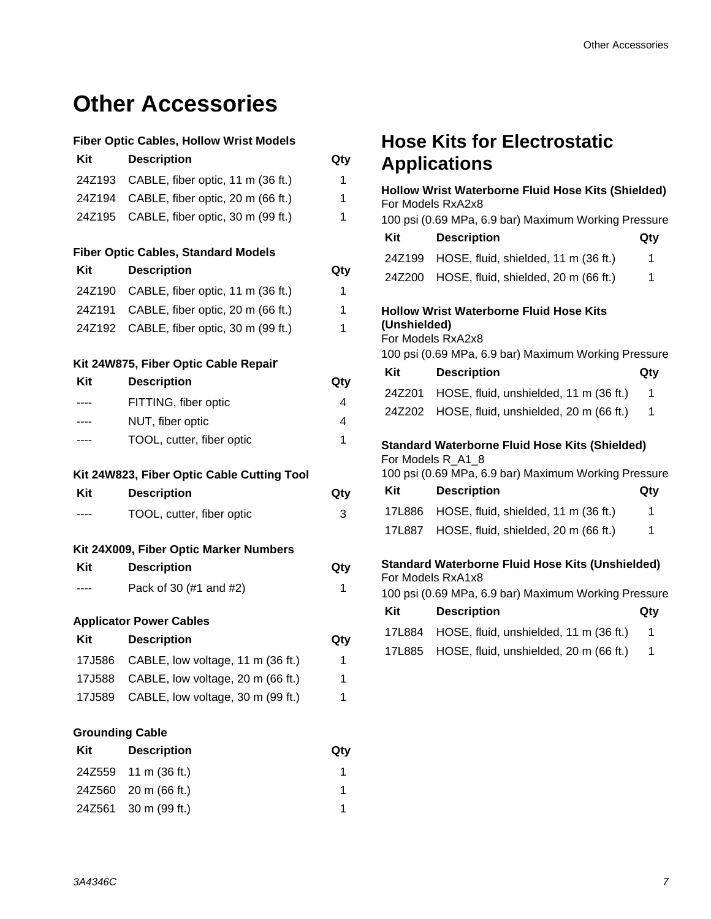### <span id="page-6-0"></span>**Other Accessories**

#### **Fiber Optic Cables, Hollow Wrist Models**

| Kit                    | <b>Description</b>                         | Qty |
|------------------------|--------------------------------------------|-----|
| 24Z193                 | CABLE, fiber optic, 11 m (36 ft.)          | 1   |
| 24Z194                 | CABLE, fiber optic, 20 m (66 ft.)          | 1   |
| 24Z195                 | CABLE, fiber optic, 30 m (99 ft.)          | 1   |
|                        | <b>Fiber Optic Cables, Standard Models</b> |     |
| Kit                    | <b>Description</b>                         | Qty |
| 24Z190                 | CABLE, fiber optic, 11 m (36 ft.)          | 1   |
|                        | 24Z191 CABLE, fiber optic, 20 m (66 ft.)   | 1   |
|                        | 24Z192 CABLE, fiber optic, 30 m (99 ft.)   | 1   |
|                        | Kit 24W875, Fiber Optic Cable Repair       |     |
| Kit                    | <b>Description</b>                         | Qty |
| ----                   | FITTING, fiber optic                       | 4   |
|                        | NUT, fiber optic                           | 4   |
| ----                   | TOOL, cutter, fiber optic                  | 1   |
|                        | Kit 24W823, Fiber Optic Cable Cutting Tool |     |
| Kit                    | <b>Description</b>                         | Qty |
| ----                   | TOOL, cutter, fiber optic                  | 3   |
|                        | Kit 24X009, Fiber Optic Marker Numbers     |     |
| Kit                    | <b>Description</b>                         | Qty |
| ----                   | Pack of 30 (#1 and #2)                     | 1   |
|                        | <b>Applicator Power Cables</b>             |     |
| Kit                    | <b>Description</b>                         | Qty |
| 17J586                 | CABLE, low voltage, 11 m (36 ft.)          | 1   |
| 17J588                 | CABLE, low voltage, 20 m (66 ft.)          | 1   |
| 17J589                 | CABLE, low voltage, 30 m (99 ft.)          | 1   |
| <b>Grounding Cable</b> |                                            |     |
| Kit                    | <b>Description</b>                         | Qty |
| 24Z559                 | 11 m (36 ft.)                              | 1   |

24Z560 20 m (66 ft.) 1 24Z561 30 m (99 ft.) 1

### <span id="page-6-1"></span>**Hose Kits for Electrostatic Applications**

|                                                                                                                                      | Hollow Wrist Waterborne Fluid Hose Kits (Shielded)<br>For Models RxA2x8                                                            |     |  |  |  |
|--------------------------------------------------------------------------------------------------------------------------------------|------------------------------------------------------------------------------------------------------------------------------------|-----|--|--|--|
|                                                                                                                                      | 100 psi (0.69 MPa, 6.9 bar) Maximum Working Pressure                                                                               |     |  |  |  |
| Kit                                                                                                                                  | <b>Description</b>                                                                                                                 | Qty |  |  |  |
| 24Z199                                                                                                                               | HOSE, fluid, shielded, 11 m (36 ft.)                                                                                               | 1   |  |  |  |
| 24Z200                                                                                                                               | HOSE, fluid, shielded, 20 m (66 ft.)                                                                                               | 1   |  |  |  |
| (Unshielded)                                                                                                                         | <b>Hollow Wrist Waterborne Fluid Hose Kits</b><br>For Models RxA2x8<br>100 psi (0.69 MPa, 6.9 bar) Maximum Working Pressure        |     |  |  |  |
| Kit                                                                                                                                  | <b>Description</b>                                                                                                                 | Qty |  |  |  |
| 24Z201                                                                                                                               | HOSE, fluid, unshielded, 11 m (36 ft.)                                                                                             | 1   |  |  |  |
| 24Z202                                                                                                                               | HOSE, fluid, unshielded, 20 m (66 ft.)                                                                                             | 1   |  |  |  |
|                                                                                                                                      | <b>Standard Waterborne Fluid Hose Kits (Shielded)</b><br>For Models R A1 8<br>100 psi (0.69 MPa, 6.9 bar) Maximum Working Pressure |     |  |  |  |
| Kit                                                                                                                                  | <b>Description</b>                                                                                                                 | Qty |  |  |  |
| 17L886                                                                                                                               | HOSE, fluid, shielded, 11 m (36 ft.)                                                                                               | 1   |  |  |  |
| 17L887                                                                                                                               | HOSE, fluid, shielded, 20 m (66 ft.)                                                                                               | 1   |  |  |  |
| <b>Standard Waterborne Fluid Hose Kits (Unshielded)</b><br>For Models RxA1x8<br>100 psi (0.69 MPa, 6.9 bar) Maximum Working Pressure |                                                                                                                                    |     |  |  |  |
| Kit                                                                                                                                  | <b>Description</b>                                                                                                                 | Qty |  |  |  |
| 17L884                                                                                                                               | HOSE, fluid, unshielded, 11 m (36 ft.)                                                                                             | 1   |  |  |  |
| 17L885                                                                                                                               | HOSE, fluid, unshielded, 20 m (66 ft.)                                                                                             | 1   |  |  |  |